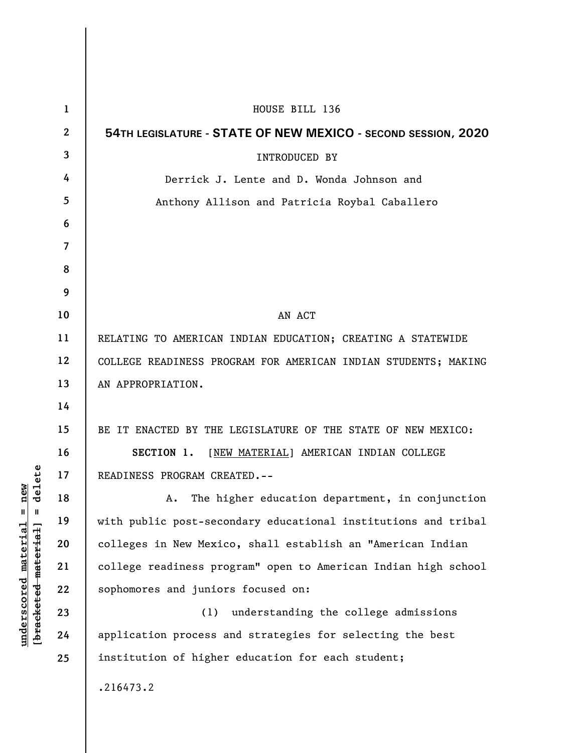| 1  | HOUSE BILL 136                                                 |
|----|----------------------------------------------------------------|
| 2  | 54TH LEGISLATURE - STATE OF NEW MEXICO - SECOND SESSION, 2020  |
| 3  | INTRODUCED BY                                                  |
| 4  | Derrick J. Lente and D. Wonda Johnson and                      |
| 5  | Anthony Allison and Patricia Roybal Caballero                  |
| 6  |                                                                |
| 7  |                                                                |
| 8  |                                                                |
| 9  |                                                                |
| 10 | AN ACT                                                         |
| 11 | RELATING TO AMERICAN INDIAN EDUCATION; CREATING A STATEWIDE    |
| 12 | COLLEGE READINESS PROGRAM FOR AMERICAN INDIAN STUDENTS; MAKING |
| 13 | AN APPROPRIATION.                                              |
| 14 |                                                                |
| 15 | BE IT ENACTED BY THE LEGISLATURE OF THE STATE OF NEW MEXICO:   |
| 16 | SECTION 1. [NEW MATERIAL] AMERICAN INDIAN COLLEGE              |
| 17 | READINESS PROGRAM CREATED. --                                  |
| 18 | The higher education department, in conjunction<br>Α.          |
| 19 | with public post-secondary educational institutions and tribal |
| 20 | colleges in New Mexico, shall establish an "American Indian    |
| 21 | college readiness program" open to American Indian high school |
| 22 | sophomores and juniors focused on:                             |
| 23 | understanding the college admissions<br>(1)                    |
| 24 | application process and strategies for selecting the best      |
| 25 | institution of higher education for each student;              |
|    | .216473.2                                                      |

**underscored material = new [bracketed material] = delete**

 $[**bracket eted metert et**] = **del et e**$  $underscored material = new$